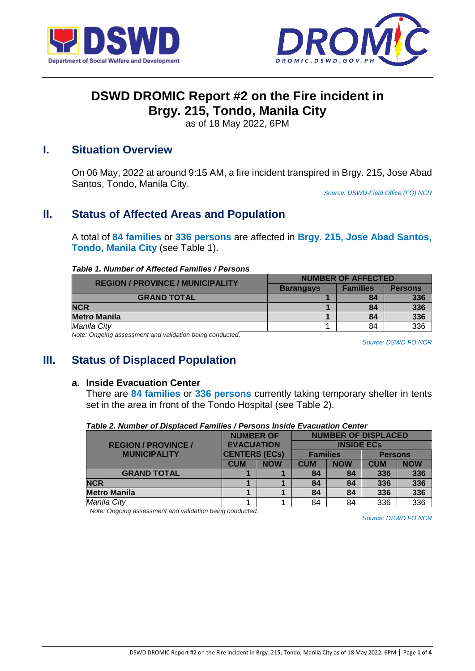



# **DSWD DROMIC Report #2 on the Fire incident in Brgy. 215, Tondo, Manila City**

as of 18 May 2022, 6PM

### **I. Situation Overview**

On 06 May, 2022 at around 9:15 AM, a fire incident transpired in Brgy. 215, Jose Abad Santos, Tondo, Manila City.

*Source: DSWD-Field Office (FO) NCR*

## **II. Status of Affected Areas and Population**

A total of **84 families** or **336 persons** are affected in **Brgy. 215, Jose Abad Santos, Tondo, Manila City** (see Table 1).

#### *Table 1. Number of Affected Families / Persons*

| <b>REGION / PROVINCE / MUNICIPALITY</b> | <b>NUMBER OF AFFECTED</b> |                 |                |  |  |
|-----------------------------------------|---------------------------|-----------------|----------------|--|--|
|                                         | <b>Barangays</b>          | <b>Families</b> | <b>Persons</b> |  |  |
| <b>GRAND TOTAL</b>                      |                           | 84              | 336            |  |  |
| <b>NCR</b>                              |                           | 84              | 336            |  |  |
| <b>Metro Manila</b>                     |                           | 84              | 336            |  |  |
| Manila City                             |                           | 84              | 336            |  |  |
|                                         |                           |                 |                |  |  |

*Note: Ongoing assessment and validation being conducted.* 

*Source: DSWD FO NCR*

### **III. Status of Displaced Population**

#### **a. Inside Evacuation Center**

There are **84 families** or **336 persons** currently taking temporary shelter in tents set in the area in front of the Tondo Hospital (see Table 2).

|                            | <b>NUMBER OF</b><br><b>EVACUATION</b><br><b>CENTERS (ECs)</b> |            | <b>NUMBER OF DISPLACED</b> |            |                |            |
|----------------------------|---------------------------------------------------------------|------------|----------------------------|------------|----------------|------------|
| <b>REGION / PROVINCE /</b> |                                                               |            | <b>INSIDE ECS</b>          |            |                |            |
| <b>MUNICIPALITY</b>        |                                                               |            | <b>Families</b>            |            | <b>Persons</b> |            |
|                            | <b>CUM</b>                                                    | <b>NOW</b> | <b>CUM</b>                 | <b>NOW</b> | <b>CUM</b>     | <b>NOW</b> |
| <b>GRAND TOTAL</b>         |                                                               |            | 84                         | 84         | 336            | 336        |
| <b>NCR</b>                 |                                                               |            | 84                         | 84         | 336            | 336        |
| <b>Metro Manila</b>        |                                                               |            | 84                         | 84         | 336            | 336        |
| Manila City                |                                                               |            | 84                         | 84         | 336            | 336        |

*Table 2. Number of Displaced Families / Persons Inside Evacuation Center*

*Note: Ongoing assessment and validation being conducted.*

*Source: DSWD FO NCR*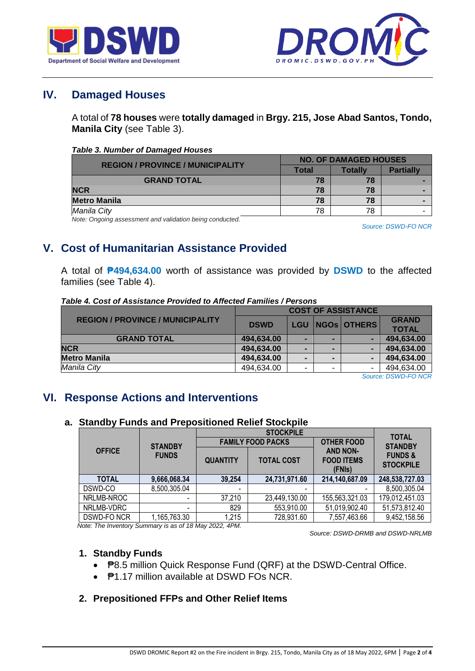



## **IV. Damaged Houses**

A total of **78 houses** were **totally damaged** in **Brgy. 215, Jose Abad Santos, Tondo, Manila City** (see Table 3).

|  | <b>Table 3. Number of Damaged Houses</b> |  |
|--|------------------------------------------|--|
|  |                                          |  |

| <b>REGION / PROVINCE / MUNICIPALITY</b> | <b>NO. OF DAMAGED HOUSES</b> |         |                  |  |
|-----------------------------------------|------------------------------|---------|------------------|--|
|                                         | Total                        | Totallv | <b>Partially</b> |  |
| <b>GRAND TOTAL</b>                      | 78                           | 78      |                  |  |
| <b>NCR</b>                              | 78                           | 78      |                  |  |
| <b>Metro Manila</b>                     | 78                           | 78      |                  |  |
| Manila City                             | 78                           | 78      |                  |  |

*Note: Ongoing assessment and validation being conducted.*

*Source: DSWD-FO NCR*

## **V. Cost of Humanitarian Assistance Provided**

A total of **₱494,634.00** worth of assistance was provided by **DSWD** to the affected families (see Table 4).

|                                         | <b>COST OF ASSISTANCE</b> |   |  |                     |              |
|-----------------------------------------|---------------------------|---|--|---------------------|--------------|
| <b>REGION / PROVINCE / MUNICIPALITY</b> | <b>DSWD</b>               |   |  | LGU   NGOS   OTHERS | <b>GRAND</b> |
|                                         |                           |   |  |                     | <b>TOTAL</b> |
| <b>GRAND TOTAL</b>                      | 494,634.00                |   |  |                     | 494,634.00   |
| <b>NCR</b>                              | 494,634.00                | - |  |                     | 494,634.00   |
| <b>Metro Manila</b>                     | 494,634.00                | - |  |                     | 494,634.00   |
| Manila City                             | 494,634.00                | - |  |                     | 494,634.00   |

*Source: DSWD-FO NCR*

## **VI. Response Actions and Interventions**

### **a. Standby Funds and Prepositioned Relief Stockpile**

|               |                          |                 | <b>STOCKPILE</b>         |                                                |                                        |  |
|---------------|--------------------------|-----------------|--------------------------|------------------------------------------------|----------------------------------------|--|
|               | <b>STANDBY</b>           |                 | <b>FAMILY FOOD PACKS</b> | <b>OTHER FOOD</b>                              | <b>TOTAL</b><br><b>STANDBY</b>         |  |
| <b>OFFICE</b> | <b>FUNDS</b>             | <b>QUANTITY</b> | <b>TOTAL COST</b>        | <b>AND NON-</b><br><b>FOOD ITEMS</b><br>(FNIs) | <b>FUNDS &amp;</b><br><b>STOCKPILE</b> |  |
| <b>TOTAL</b>  | 9,666,068.34             | 39,254          | 24,731,971.60            | 214,140,687.09                                 | 248,538,727.03                         |  |
| DSWD-CO       | 8,500,305.04             |                 |                          |                                                | 8,500,305.04                           |  |
| NRLMB-NROC    | -                        | 37,210          | 23,449,130.00            | 155,563,321.03                                 | 179,012,451.03                         |  |
| NRLMB-VDRC    | $\overline{\phantom{0}}$ | 829             | 553,910.00               | 51,019,902.40                                  | 51,573,812.40                          |  |
| DSWD-FONCR    | 1,165,763.30             | 1,215           | 728,931.60               | 7,557,463.66                                   | 9,452,158.56                           |  |

 *Note: The Inventory Summary is as of 18 May 2022, 4PM.*

 *Source: DSWD-DRMB and DSWD-NRLMB*

### **1. Standby Funds**

- **P**8.5 million Quick Response Fund (QRF) at the DSWD-Central Office.
- **₱1.17 million available at DSWD FOs NCR.**

### **2. Prepositioned FFPs and Other Relief Items**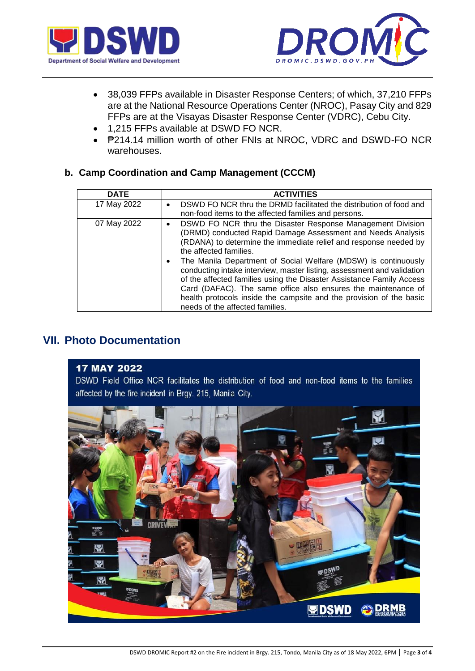



- 38,039 FFPs available in Disaster Response Centers; of which, 37,210 FFPs are at the National Resource Operations Center (NROC), Pasay City and 829 FFPs are at the Visayas Disaster Response Center (VDRC), Cebu City.
- 1,215 FFPs available at DSWD FO NCR.
- P214.14 million worth of other FNIs at NROC, VDRC and DSWD-FO NCR warehouses.

### **b. Camp Coordination and Camp Management (CCCM)**

| <b>DATE</b> | <b>ACTIVITIES</b>                                                                                                                                                                                                                                                                                                                                                                                                                                                                                                                                                                                                                        |
|-------------|------------------------------------------------------------------------------------------------------------------------------------------------------------------------------------------------------------------------------------------------------------------------------------------------------------------------------------------------------------------------------------------------------------------------------------------------------------------------------------------------------------------------------------------------------------------------------------------------------------------------------------------|
| 17 May 2022 | DSWD FO NCR thru the DRMD facilitated the distribution of food and<br>$\bullet$<br>non-food items to the affected families and persons.                                                                                                                                                                                                                                                                                                                                                                                                                                                                                                  |
| 07 May 2022 | DSWD FO NCR thru the Disaster Response Management Division<br>$\bullet$<br>(DRMD) conducted Rapid Damage Assessment and Needs Analysis<br>(RDANA) to determine the immediate relief and response needed by<br>the affected families.<br>The Manila Department of Social Welfare (MDSW) is continuously<br>٠<br>conducting intake interview, master listing, assessment and validation<br>of the affected families using the Disaster Assistance Family Access<br>Card (DAFAC). The same office also ensures the maintenance of<br>health protocols inside the campsite and the provision of the basic<br>needs of the affected families. |

## **VII. Photo Documentation**

### **17 MAY 2022**

DSWD Field Office NCR facilitates the distribution of food and non-food items to the families affected by the fire incident in Brgy. 215, Manila City.